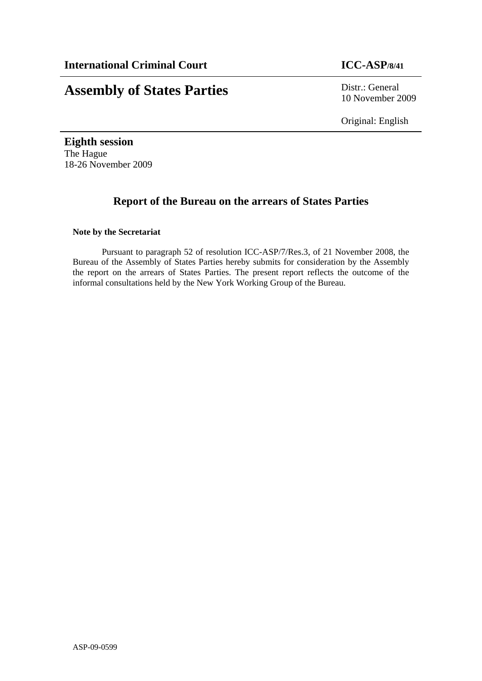# **Assembly of States Parties** Distr.: General

10 November 2009

Original: English

**Eighth session**  The Hague 18-26 November 2009

# **Report of the Bureau on the arrears of States Parties**

# **Note by the Secretariat**

Pursuant to paragraph 52 of resolution ICC-ASP/7/Res.3, of 21 November 2008, the Bureau of the Assembly of States Parties hereby submits for consideration by the Assembly the report on the arrears of States Parties. The present report reflects the outcome of the informal consultations held by the New York Working Group of the Bureau.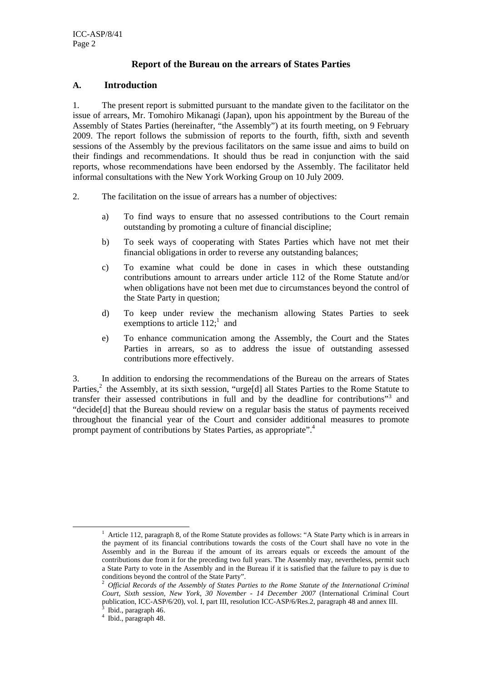# **Report of the Bureau on the arrears of States Parties**

#### **A. Introduction**

1. The present report is submitted pursuant to the mandate given to the facilitator on the issue of arrears, Mr. Tomohiro Mikanagi (Japan), upon his appointment by the Bureau of the Assembly of States Parties (hereinafter, "the Assembly") at its fourth meeting, on 9 February 2009. The report follows the submission of reports to the fourth, fifth, sixth and seventh sessions of the Assembly by the previous facilitators on the same issue and aims to build on their findings and recommendations. It should thus be read in conjunction with the said reports, whose recommendations have been endorsed by the Assembly. The facilitator held informal consultations with the New York Working Group on 10 July 2009.

- 2. The facilitation on the issue of arrears has a number of objectives:
	- a) To find ways to ensure that no assessed contributions to the Court remain outstanding by promoting a culture of financial discipline;
	- b) To seek ways of cooperating with States Parties which have not met their financial obligations in order to reverse any outstanding balances;
	- c) To examine what could be done in cases in which these outstanding contributions amount to arrears under article 112 of the Rome Statute and/or when obligations have not been met due to circumstances beyond the control of the State Party in question;
	- d) To keep under review the mechanism allowing States Parties to seek exemptions to article  $112$ ;<sup>1</sup> and
	- e) To enhance communication among the Assembly, the Court and the States Parties in arrears, so as to address the issue of outstanding assessed contributions more effectively.

3. In addition to endorsing the recommendations of the Bureau on the arrears of States Parties,<sup>2</sup> the Assembly, at its sixth session, "urge[d] all States Parties to the Rome Statute to transfer their assessed contributions in full and by the deadline for contributions"<sup>3</sup> and "decide[d] that the Bureau should review on a regular basis the status of payments received throughout the financial year of the Court and consider additional measures to promote prompt payment of contributions by States Parties, as appropriate".<sup>4</sup>

<sup>&</sup>lt;u>1</u>  $<sup>1</sup>$  Article 112, paragraph 8, of the Rome Statute provides as follows: "A State Party which is in arrears in</sup> the payment of its financial contributions towards the costs of the Court shall have no vote in the Assembly and in the Bureau if the amount of its arrears equals or exceeds the amount of the contributions due from it for the preceding two full years. The Assembly may, nevertheless, permit such a State Party to vote in the Assembly and in the Bureau if it is satisfied that the failure to pay is due to conditions beyond the control of the State Party".

<sup>2</sup> *Official Records of the Assembly of States Parties to the Rome Statute of the International Criminal Court, Sixth session, New York, 30 November - 14 December 2007* (International Criminal Court publication, ICC-ASP/6/20), vol. I, part III, resolution ICC-ASP/6/Res.2, paragraph 48 and annex III.

Ibid., paragraph 46.

<sup>4</sup> Ibid., paragraph 48.